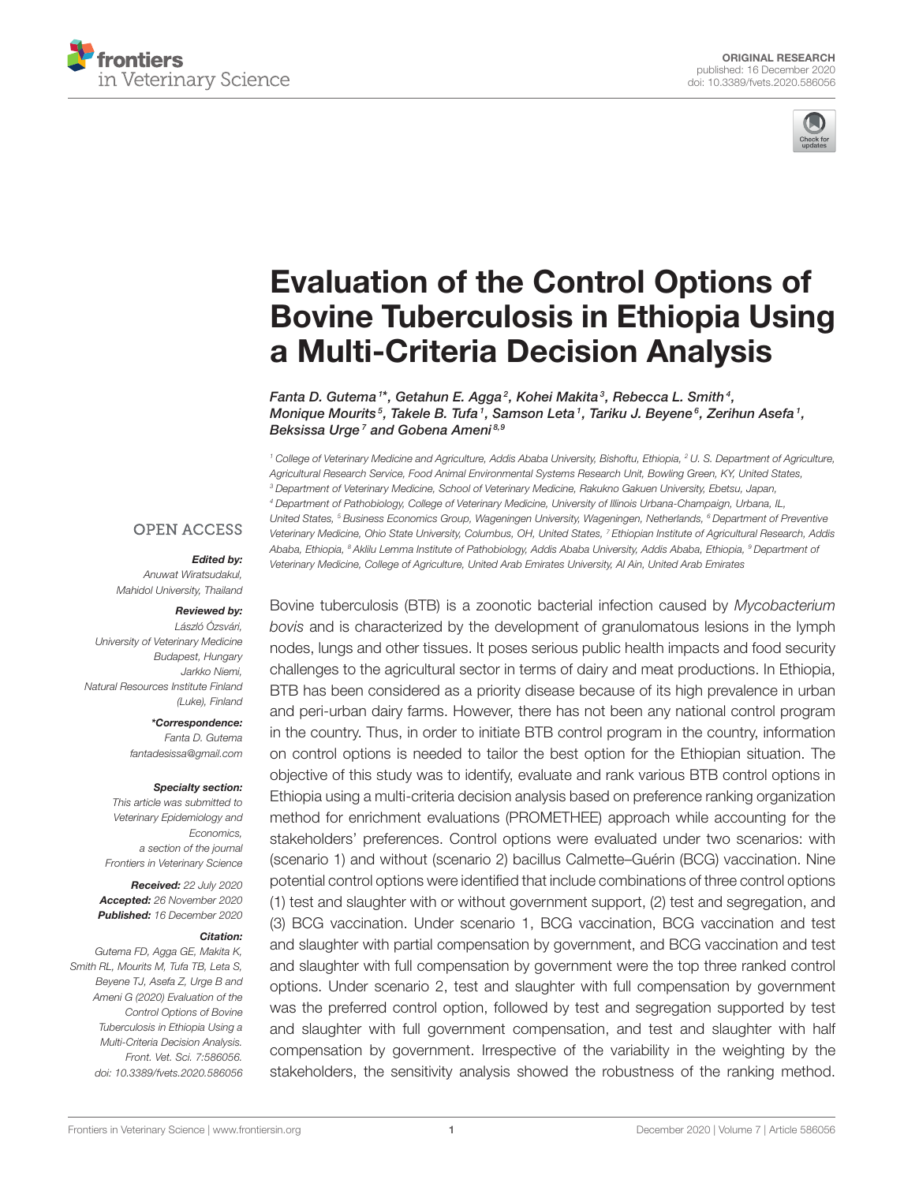



# Evaluation of the Control Options of [Bovine Tuberculosis in Ethiopia Using](https://www.frontiersin.org/articles/10.3389/fvets.2020.586056/full) a Multi-Criteria Decision Analysis

Fanta D. Gutema  $^{\text{\tiny{1}*}}$ , Getahun E. Agga  $^{\text{\tiny{2}}}$ , Kohei Makita  $^{\text{\tiny{3}}}$ , Rebecca L. Smith  $^{\text{\tiny{4}}}$ , Monique Mourits $^5$ , Takele B. Tufa  $^1$ , Samson Leta  $^1$ , Tariku J. Beyene $^6$ , Zerihun Asefa  $^1$ , Beksissa Urge<sup>7</sup> and Gobena Ameni<sup>8,9</sup>

<sup>1</sup> College of Veterinary Medicine and Agriculture, Addis Ababa University, Bishoftu, Ethiopia, <sup>2</sup> U. S. Department of Agriculture, Agricultural Research Service, Food Animal Environmental Systems Research Unit, Bowling Green, KY, United States, <sup>3</sup> Department of Veterinary Medicine, School of Veterinary Medicine, Rakukno Gakuen University, Ebetsu, Japan, <sup>4</sup> Department of Pathobiology, College of Veterinary Medicine, University of Illinois Urbana-Champaign, Urbana, IL, United States, <sup>5</sup> Business Economics Group, Wageningen University, Wageningen, Netherlands, <sup>6</sup> Department of Preventive Veterinary Medicine, Ohio State University, Columbus, OH, United States, <sup>7</sup> Ethiopian Institute of Agricultural Research, Addis Ababa, Ethiopia, <sup>8</sup> Aklilu Lemma Institute of Pathobiology, Addis Ababa University, Addis Ababa, Ethiopia, <sup>9</sup> Department of Veterinary Medicine, College of Agriculture, United Arab Emirates University, Al Ain, United Arab Emirates

#### **OPEN ACCESS**

#### Edited by:

Anuwat Wiratsudakul, Mahidol University, Thailand

#### Reviewed by:

László Ózsvári, University of Veterinary Medicine Budapest, Hungary Jarkko Niemi, Natural Resources Institute Finland (Luke), Finland

\*Correspondence:

Fanta D. Gutema [fantadesissa@gmail.com](mailto:fantadesissa@gmail.com)

#### Specialty section:

This article was submitted to Veterinary Epidemiology and Economics, a section of the journal Frontiers in Veterinary Science

Received: 22 July 2020 Accepted: 26 November 2020 Published: 16 December 2020

#### Citation:

Gutema FD, Agga GE, Makita K, Smith RL, Mourits M, Tufa TB, Leta S, Beyene TJ, Asefa Z, Urge B and Ameni G (2020) Evaluation of the Control Options of Bovine Tuberculosis in Ethiopia Using a Multi-Criteria Decision Analysis. Front. Vet. Sci. 7:586056. doi: [10.3389/fvets.2020.586056](https://doi.org/10.3389/fvets.2020.586056)

Bovine tuberculosis (BTB) is a zoonotic bacterial infection caused by Mycobacterium bovis and is characterized by the development of granulomatous lesions in the lymph nodes, lungs and other tissues. It poses serious public health impacts and food security challenges to the agricultural sector in terms of dairy and meat productions. In Ethiopia, BTB has been considered as a priority disease because of its high prevalence in urban and peri-urban dairy farms. However, there has not been any national control program in the country. Thus, in order to initiate BTB control program in the country, information on control options is needed to tailor the best option for the Ethiopian situation. The objective of this study was to identify, evaluate and rank various BTB control options in Ethiopia using a multi-criteria decision analysis based on preference ranking organization method for enrichment evaluations (PROMETHEE) approach while accounting for the stakeholders' preferences. Control options were evaluated under two scenarios: with (scenario 1) and without (scenario 2) bacillus Calmette–Guérin (BCG) vaccination. Nine potential control options were identified that include combinations of three control options (1) test and slaughter with or without government support, (2) test and segregation, and (3) BCG vaccination. Under scenario 1, BCG vaccination, BCG vaccination and test and slaughter with partial compensation by government, and BCG vaccination and test and slaughter with full compensation by government were the top three ranked control options. Under scenario 2, test and slaughter with full compensation by government was the preferred control option, followed by test and segregation supported by test and slaughter with full government compensation, and test and slaughter with half compensation by government. Irrespective of the variability in the weighting by the stakeholders, the sensitivity analysis showed the robustness of the ranking method.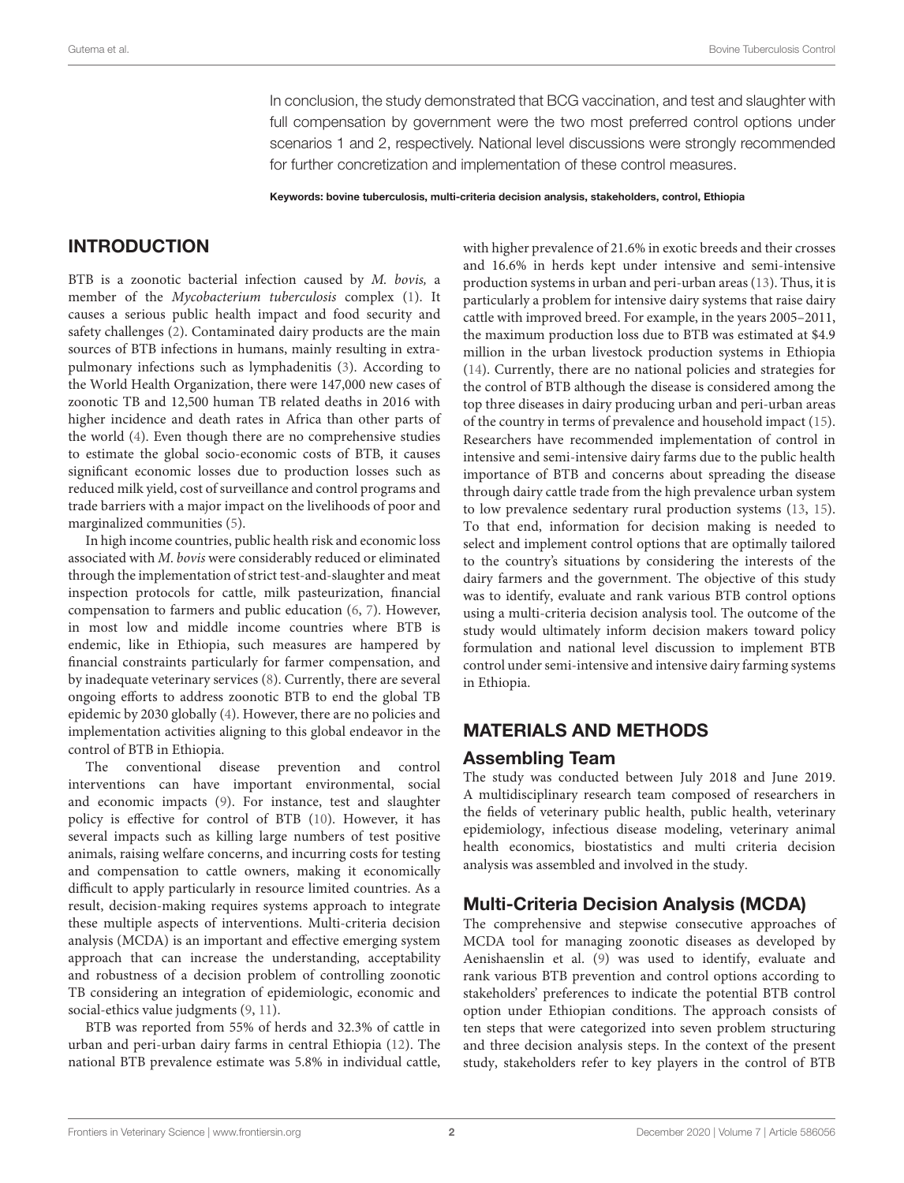In conclusion, the study demonstrated that BCG vaccination, and test and slaughter with full compensation by government were the two most preferred control options under scenarios 1 and 2, respectively. National level discussions were strongly recommended for further concretization and implementation of these control measures.

Keywords: bovine tuberculosis, multi-criteria decision analysis, stakeholders, control, Ethiopia

## INTRODUCTION

BTB is a zoonotic bacterial infection caused by M. bovis, a member of the Mycobacterium tuberculosis complex [\(1\)](#page-8-0). It causes a serious public health impact and food security and safety challenges [\(2\)](#page-8-1). Contaminated dairy products are the main sources of BTB infections in humans, mainly resulting in extrapulmonary infections such as lymphadenitis [\(3\)](#page-8-2). According to the World Health Organization, there were 147,000 new cases of zoonotic TB and 12,500 human TB related deaths in 2016 with higher incidence and death rates in Africa than other parts of the world [\(4\)](#page-8-3). Even though there are no comprehensive studies to estimate the global socio-economic costs of BTB, it causes significant economic losses due to production losses such as reduced milk yield, cost of surveillance and control programs and trade barriers with a major impact on the livelihoods of poor and marginalized communities [\(5\)](#page-8-4).

In high income countries, public health risk and economic loss associated with M. bovis were considerably reduced or eliminated through the implementation of strict test-and-slaughter and meat inspection protocols for cattle, milk pasteurization, financial compensation to farmers and public education [\(6,](#page-8-5) [7\)](#page-8-6). However, in most low and middle income countries where BTB is endemic, like in Ethiopia, such measures are hampered by financial constraints particularly for farmer compensation, and by inadequate veterinary services [\(8\)](#page-8-7). Currently, there are several ongoing efforts to address zoonotic BTB to end the global TB epidemic by 2030 globally [\(4\)](#page-8-3). However, there are no policies and implementation activities aligning to this global endeavor in the control of BTB in Ethiopia.

The conventional disease prevention and control interventions can have important environmental, social and economic impacts [\(9\)](#page-9-0). For instance, test and slaughter policy is effective for control of BTB [\(10\)](#page-9-1). However, it has several impacts such as killing large numbers of test positive animals, raising welfare concerns, and incurring costs for testing and compensation to cattle owners, making it economically difficult to apply particularly in resource limited countries. As a result, decision-making requires systems approach to integrate these multiple aspects of interventions. Multi-criteria decision analysis (MCDA) is an important and effective emerging system approach that can increase the understanding, acceptability and robustness of a decision problem of controlling zoonotic TB considering an integration of epidemiologic, economic and social-ethics value judgments [\(9,](#page-9-0) [11\)](#page-9-2).

BTB was reported from 55% of herds and 32.3% of cattle in urban and peri-urban dairy farms in central Ethiopia [\(12\)](#page-9-3). The national BTB prevalence estimate was 5.8% in individual cattle, with higher prevalence of 21.6% in exotic breeds and their crosses and 16.6% in herds kept under intensive and semi-intensive production systems in urban and peri-urban areas [\(13\)](#page-9-4). Thus, it is particularly a problem for intensive dairy systems that raise dairy cattle with improved breed. For example, in the years 2005–2011, the maximum production loss due to BTB was estimated at \$4.9 million in the urban livestock production systems in Ethiopia [\(14\)](#page-9-5). Currently, there are no national policies and strategies for the control of BTB although the disease is considered among the top three diseases in dairy producing urban and peri-urban areas of the country in terms of prevalence and household impact [\(15\)](#page-9-6). Researchers have recommended implementation of control in intensive and semi-intensive dairy farms due to the public health importance of BTB and concerns about spreading the disease through dairy cattle trade from the high prevalence urban system to low prevalence sedentary rural production systems [\(13,](#page-9-4) [15\)](#page-9-6). To that end, information for decision making is needed to select and implement control options that are optimally tailored to the country's situations by considering the interests of the dairy farmers and the government. The objective of this study was to identify, evaluate and rank various BTB control options using a multi-criteria decision analysis tool. The outcome of the study would ultimately inform decision makers toward policy formulation and national level discussion to implement BTB control under semi-intensive and intensive dairy farming systems in Ethiopia.

#### MATERIALS AND METHODS

#### Assembling Team

The study was conducted between July 2018 and June 2019. A multidisciplinary research team composed of researchers in the fields of veterinary public health, public health, veterinary epidemiology, infectious disease modeling, veterinary animal health economics, biostatistics and multi criteria decision analysis was assembled and involved in the study.

## Multi-Criteria Decision Analysis (MCDA)

The comprehensive and stepwise consecutive approaches of MCDA tool for managing zoonotic diseases as developed by Aenishaenslin et al. [\(9\)](#page-9-0) was used to identify, evaluate and rank various BTB prevention and control options according to stakeholders' preferences to indicate the potential BTB control option under Ethiopian conditions. The approach consists of ten steps that were categorized into seven problem structuring and three decision analysis steps. In the context of the present study, stakeholders refer to key players in the control of BTB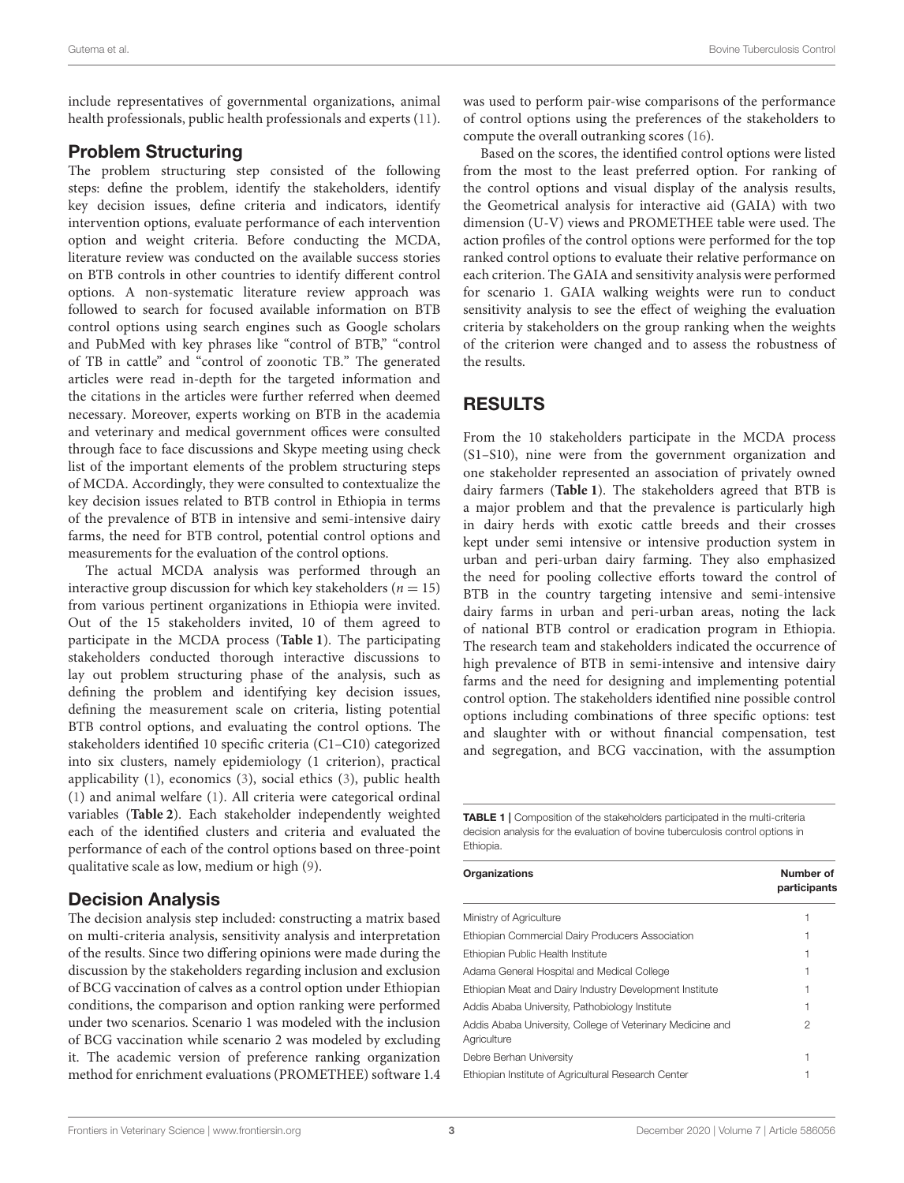include representatives of governmental organizations, animal health professionals, public health professionals and experts [\(11\)](#page-9-2).

#### Problem Structuring

The problem structuring step consisted of the following steps: define the problem, identify the stakeholders, identify key decision issues, define criteria and indicators, identify intervention options, evaluate performance of each intervention option and weight criteria. Before conducting the MCDA, literature review was conducted on the available success stories on BTB controls in other countries to identify different control options. A non-systematic literature review approach was followed to search for focused available information on BTB control options using search engines such as Google scholars and PubMed with key phrases like "control of BTB," "control of TB in cattle" and "control of zoonotic TB." The generated articles were read in-depth for the targeted information and the citations in the articles were further referred when deemed necessary. Moreover, experts working on BTB in the academia and veterinary and medical government offices were consulted through face to face discussions and Skype meeting using check list of the important elements of the problem structuring steps of MCDA. Accordingly, they were consulted to contextualize the key decision issues related to BTB control in Ethiopia in terms of the prevalence of BTB in intensive and semi-intensive dairy farms, the need for BTB control, potential control options and measurements for the evaluation of the control options.

The actual MCDA analysis was performed through an interactive group discussion for which key stakeholders ( $n = 15$ ) from various pertinent organizations in Ethiopia were invited. Out of the 15 stakeholders invited, 10 of them agreed to participate in the MCDA process (**[Table 1](#page-2-0)**). The participating stakeholders conducted thorough interactive discussions to lay out problem structuring phase of the analysis, such as defining the problem and identifying key decision issues, defining the measurement scale on criteria, listing potential BTB control options, and evaluating the control options. The stakeholders identified 10 specific criteria (C1–C10) categorized into six clusters, namely epidemiology (1 criterion), practical applicability [\(1\)](#page-8-0), economics [\(3\)](#page-8-2), social ethics [\(3\)](#page-8-2), public health [\(1\)](#page-8-0) and animal welfare [\(1\)](#page-8-0). All criteria were categorical ordinal variables (**[Table 2](#page-3-0)**). Each stakeholder independently weighted each of the identified clusters and criteria and evaluated the performance of each of the control options based on three-point qualitative scale as low, medium or high [\(9\)](#page-9-0).

## Decision Analysis

The decision analysis step included: constructing a matrix based on multi-criteria analysis, sensitivity analysis and interpretation of the results. Since two differing opinions were made during the discussion by the stakeholders regarding inclusion and exclusion of BCG vaccination of calves as a control option under Ethiopian conditions, the comparison and option ranking were performed under two scenarios. Scenario 1 was modeled with the inclusion of BCG vaccination while scenario 2 was modeled by excluding it. The academic version of preference ranking organization method for enrichment evaluations (PROMETHEE) software 1.4 was used to perform pair-wise comparisons of the performance of control options using the preferences of the stakeholders to compute the overall outranking scores [\(16\)](#page-9-7).

Based on the scores, the identified control options were listed from the most to the least preferred option. For ranking of the control options and visual display of the analysis results, the Geometrical analysis for interactive aid (GAIA) with two dimension (U-V) views and PROMETHEE table were used. The action profiles of the control options were performed for the top ranked control options to evaluate their relative performance on each criterion. The GAIA and sensitivity analysis were performed for scenario 1. GAIA walking weights were run to conduct sensitivity analysis to see the effect of weighing the evaluation criteria by stakeholders on the group ranking when the weights of the criterion were changed and to assess the robustness of the results.

# RESULTS

From the 10 stakeholders participate in the MCDA process (S1–S10), nine were from the government organization and one stakeholder represented an association of privately owned dairy farmers (**[Table 1](#page-2-0)**). The stakeholders agreed that BTB is a major problem and that the prevalence is particularly high in dairy herds with exotic cattle breeds and their crosses kept under semi intensive or intensive production system in urban and peri-urban dairy farming. They also emphasized the need for pooling collective efforts toward the control of BTB in the country targeting intensive and semi-intensive dairy farms in urban and peri-urban areas, noting the lack of national BTB control or eradication program in Ethiopia. The research team and stakeholders indicated the occurrence of high prevalence of BTB in semi-intensive and intensive dairy farms and the need for designing and implementing potential control option. The stakeholders identified nine possible control options including combinations of three specific options: test and slaughter with or without financial compensation, test and segregation, and BCG vaccination, with the assumption

<span id="page-2-0"></span>**TABLE 1** | Composition of the stakeholders participated in the multi-criteria decision analysis for the evaluation of bovine tuberculosis control options in Ethiopia.

| Organizations                                                             | Number of<br>participants |  |  |
|---------------------------------------------------------------------------|---------------------------|--|--|
| Ministry of Agriculture                                                   |                           |  |  |
| Ethiopian Commercial Dairy Producers Association                          |                           |  |  |
| Ethiopian Public Health Institute                                         |                           |  |  |
| Adama General Hospital and Medical College                                |                           |  |  |
| Ethiopian Meat and Dairy Industry Development Institute                   |                           |  |  |
| Addis Ababa University, Pathobiology Institute                            |                           |  |  |
| Addis Ababa University, College of Veterinary Medicine and<br>Agriculture | 2                         |  |  |
| Debre Berhan University                                                   |                           |  |  |
| Ethiopian Institute of Agricultural Research Center                       |                           |  |  |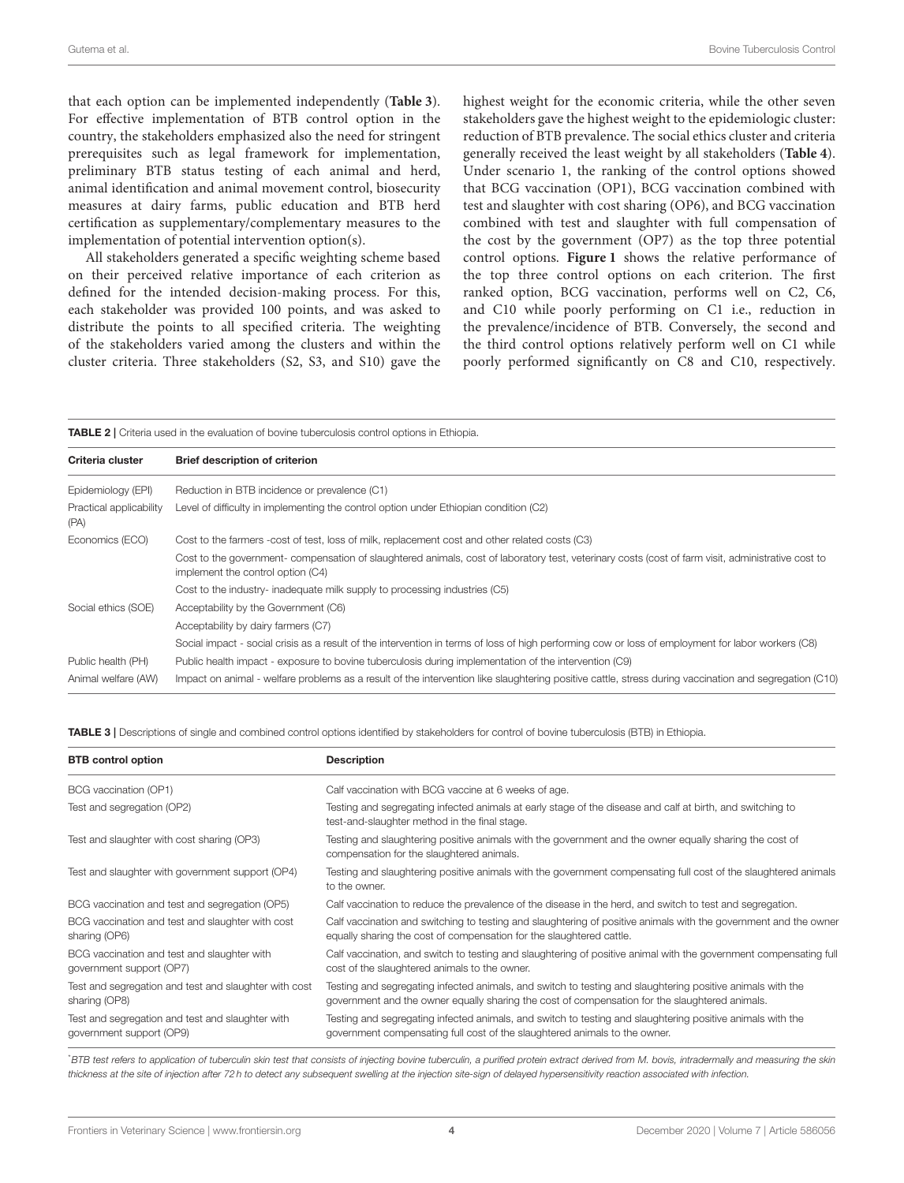that each option can be implemented independently (**[Table 3](#page-3-1)**). For effective implementation of BTB control option in the country, the stakeholders emphasized also the need for stringent prerequisites such as legal framework for implementation, preliminary BTB status testing of each animal and herd, animal identification and animal movement control, biosecurity measures at dairy farms, public education and BTB herd certification as supplementary/complementary measures to the implementation of potential intervention option(s).

All stakeholders generated a specific weighting scheme based on their perceived relative importance of each criterion as defined for the intended decision-making process. For this, each stakeholder was provided 100 points, and was asked to distribute the points to all specified criteria. The weighting of the stakeholders varied among the clusters and within the cluster criteria. Three stakeholders (S2, S3, and S10) gave the highest weight for the economic criteria, while the other seven stakeholders gave the highest weight to the epidemiologic cluster: reduction of BTB prevalence. The social ethics cluster and criteria generally received the least weight by all stakeholders (**[Table 4](#page-4-0)**). Under scenario 1, the ranking of the control options showed that BCG vaccination (OP1), BCG vaccination combined with test and slaughter with cost sharing (OP6), and BCG vaccination combined with test and slaughter with full compensation of the cost by the government (OP7) as the top three potential control options. **[Figure 1](#page-5-0)** shows the relative performance of the top three control options on each criterion. The first ranked option, BCG vaccination, performs well on C2, C6, and C10 while poorly performing on C1 i.e., reduction in the prevalence/incidence of BTB. Conversely, the second and the third control options relatively perform well on C1 while poorly performed significantly on C8 and C10, respectively.

<span id="page-3-0"></span>TABLE 2 | Criteria used in the evaluation of bovine tuberculosis control options in Ethiopia.

| Criteria cluster                | <b>Brief description of criterion</b>                                                                                                                                                  |
|---------------------------------|----------------------------------------------------------------------------------------------------------------------------------------------------------------------------------------|
| Epidemiology (EPI)              | Reduction in BTB incidence or prevalence (C1)                                                                                                                                          |
| Practical applicability<br>(PA) | Level of difficulty in implementing the control option under Ethiopian condition (C2)                                                                                                  |
| Economics (ECO)                 | Cost to the farmers -cost of test, loss of milk, replacement cost and other related costs (C3)                                                                                         |
|                                 | Cost to the government-compensation of slaughtered animals, cost of laboratory test, veterinary costs (cost of farm visit, administrative cost to<br>implement the control option (C4) |
|                                 | Cost to the industry- inadequate milk supply to processing industries (C5)                                                                                                             |
| Social ethics (SOE)             | Acceptability by the Government (C6)                                                                                                                                                   |
|                                 | Acceptability by dairy farmers (C7)                                                                                                                                                    |
|                                 | Social impact - social crisis as a result of the intervention in terms of loss of high performing cow or loss of employment for labor workers (C8)                                     |
| Public health (PH)              | Public health impact - exposure to bovine tuberculosis during implementation of the intervention (C9)                                                                                  |
| Animal welfare (AW)             | Impact on animal - welfare problems as a result of the intervention like slaughtering positive cattle, stress during vaccination and segregation (C10)                                 |

<span id="page-3-1"></span>TABLE 3 | Descriptions of single and combined control options identified by stakeholders for control of bovine tuberculosis (BTB) in Ethiopia.

| <b>BTB</b> control option                                                    | <b>Description</b>                                                                                                                                                                                           |
|------------------------------------------------------------------------------|--------------------------------------------------------------------------------------------------------------------------------------------------------------------------------------------------------------|
| BCG vaccination (OP1)                                                        | Calf vaccination with BCG vaccine at 6 weeks of age.                                                                                                                                                         |
| Test and segregation (OP2)                                                   | Testing and segregating infected animals at early stage of the disease and calf at birth, and switching to<br>test-and-slaughter method in the final stage.                                                  |
| Test and slaughter with cost sharing (OP3)                                   | Testing and slaughtering positive animals with the government and the owner equally sharing the cost of<br>compensation for the slaughtered animals.                                                         |
| Test and slaughter with government support (OP4)                             | Testing and slaughtering positive animals with the government compensating full cost of the slaughtered animals<br>to the owner.                                                                             |
| BCG vaccination and test and segregation (OP5)                               | Calf vaccination to reduce the prevalence of the disease in the herd, and switch to test and segregation.                                                                                                    |
| BCG vaccination and test and slaughter with cost<br>sharing (OP6)            | Calf vaccination and switching to testing and slaughtering of positive animals with the government and the owner<br>equally sharing the cost of compensation for the slaughtered cattle.                     |
| BCG vaccination and test and slaughter with<br>government support (OP7)      | Calf vaccination, and switch to testing and slaughtering of positive animal with the government compensating full<br>cost of the slaughtered animals to the owner.                                           |
| Test and segregation and test and slaughter with cost<br>sharing (OP8)       | Testing and segregating infected animals, and switch to testing and slaughtering positive animals with the<br>government and the owner equally sharing the cost of compensation for the slaughtered animals. |
| Test and segregation and test and slaughter with<br>government support (OP9) | Testing and segregating infected animals, and switch to testing and slaughtering positive animals with the<br>government compensating full cost of the slaughtered animals to the owner.                     |

\*BTB test refers to application of tuberculin skin test that consists of injecting bovine tuberculin, a purified protein extract derived from M. bovis, intradermally and measuring the skin thickness at the site of injection after 72 h to detect any subsequent swelling at the injection site-sign of delayed hypersensitivity reaction associated with infection.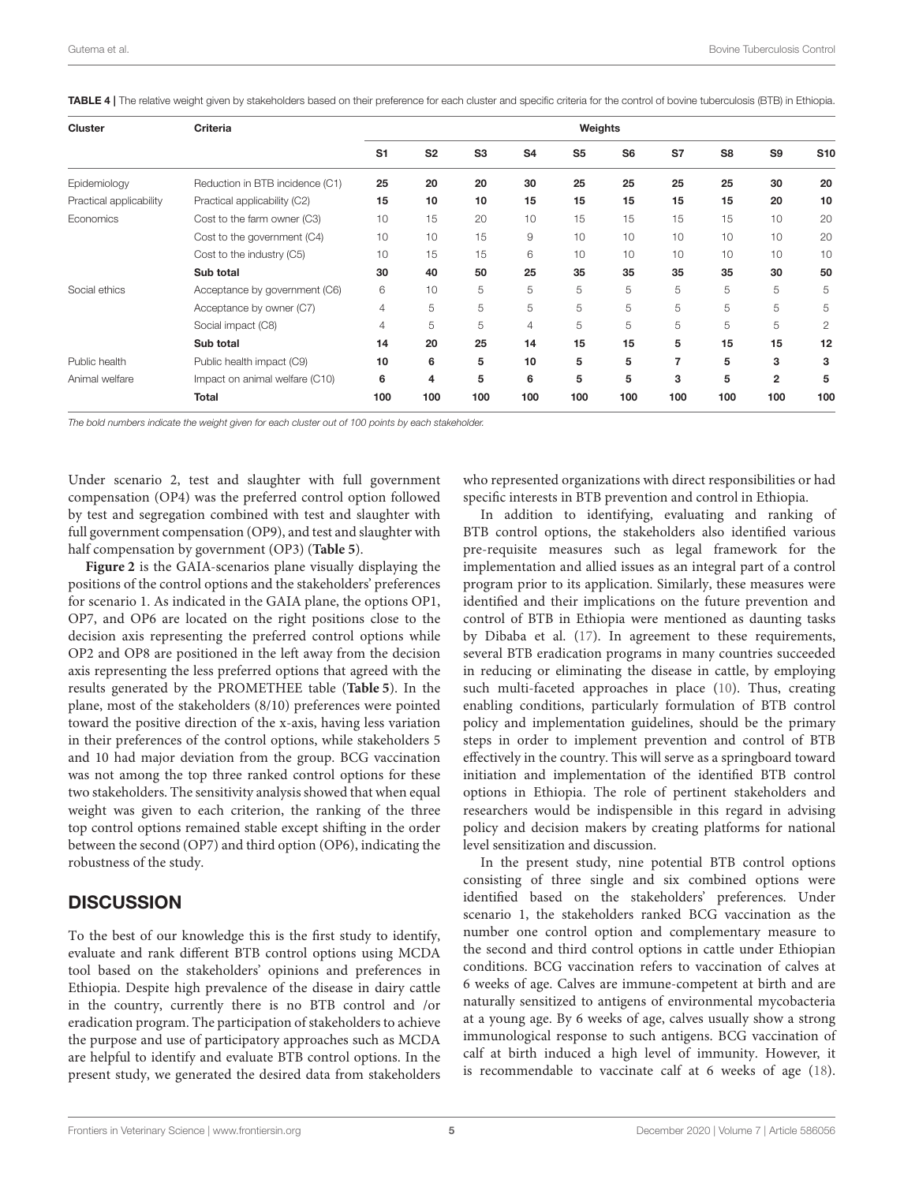| <b>Cluster</b>          | Criteria                        | Weights        |                |                |                |                |                |     |                |                |              |
|-------------------------|---------------------------------|----------------|----------------|----------------|----------------|----------------|----------------|-----|----------------|----------------|--------------|
|                         |                                 | S <sub>1</sub> | S <sub>2</sub> | S <sub>3</sub> | S <sub>4</sub> | S <sub>5</sub> | S <sub>6</sub> | S7  | S <sub>8</sub> | S <sub>9</sub> | <b>S10</b>   |
| Epidemiology            | Reduction in BTB incidence (C1) | 25             | 20             | 20             | 30             | 25             | 25             | 25  | 25             | 30             | 20           |
| Practical applicability | Practical applicability (C2)    | 15             | 10             | 10             | 15             | 15             | 15             | 15  | 15             | 20             | 10           |
| Economics               | Cost to the farm owner (C3)     | 10             | 15             | 20             | 10             | 15             | 15             | 15  | 15             | 10             | 20           |
|                         | Cost to the government (C4)     | 10             | 10             | 15             | 9              | 10             | 10             | 10  | 10             | 10             | 20           |
|                         | Cost to the industry (C5)       | 10             | 15             | 15             | 6              | 10             | 10             | 10  | 10             | 10             | 10           |
|                         | Sub total                       | 30             | 40             | 50             | 25             | 35             | 35             | 35  | 35             | 30             | 50           |
| Social ethics           | Acceptance by government (C6)   | 6              | 10             | 5              | 5              | 5              | 5              | 5   | 5              | 5              | 5            |
|                         | Acceptance by owner (C7)        | 4              | 5              | 5              | 5              | 5              | 5              | 5   | 5              | 5              | 5            |
|                         | Social impact (C8)              | 4              | 5              | 5              | 4              | 5              | 5              | 5   | 5              | 5              | $\mathbf{2}$ |
|                         | Sub total                       | 14             | 20             | 25             | 14             | 15             | 15             | 5   | 15             | 15             | 12           |
| Public health           | Public health impact (C9)       | 10             | 6              | 5              | 10             | 5              | 5              | 7   | 5              | 3              | 3            |
| Animal welfare          | Impact on animal welfare (C10)  | 6              | 4              | 5              | 6              | 5              | 5              | 3   | 5              | $\overline{2}$ | 5            |
|                         | <b>Total</b>                    | 100            | 100            | 100            | 100            | 100            | 100            | 100 | 100            | 100            | 100          |

<span id="page-4-0"></span>TABLE 4 | The relative weight given by stakeholders based on their preference for each cluster and specific criteria for the control of bovine tuberculosis (BTB) in Ethiopia.

The bold numbers indicate the weight given for each cluster out of 100 points by each stakeholder.

Under scenario 2, test and slaughter with full government compensation (OP4) was the preferred control option followed by test and segregation combined with test and slaughter with full government compensation (OP9), and test and slaughter with half compensation by government (OP3) (**[Table 5](#page-6-0)**).

**[Figure 2](#page-6-1)** is the GAIA-scenarios plane visually displaying the positions of the control options and the stakeholders' preferences for scenario 1. As indicated in the GAIA plane, the options OP1, OP7, and OP6 are located on the right positions close to the decision axis representing the preferred control options while OP2 and OP8 are positioned in the left away from the decision axis representing the less preferred options that agreed with the results generated by the PROMETHEE table (**[Table 5](#page-6-0)**). In the plane, most of the stakeholders (8/10) preferences were pointed toward the positive direction of the x-axis, having less variation in their preferences of the control options, while stakeholders 5 and 10 had major deviation from the group. BCG vaccination was not among the top three ranked control options for these two stakeholders. The sensitivity analysis showed that when equal weight was given to each criterion, the ranking of the three top control options remained stable except shifting in the order between the second (OP7) and third option (OP6), indicating the robustness of the study.

## **DISCUSSION**

To the best of our knowledge this is the first study to identify, evaluate and rank different BTB control options using MCDA tool based on the stakeholders' opinions and preferences in Ethiopia. Despite high prevalence of the disease in dairy cattle in the country, currently there is no BTB control and /or eradication program. The participation of stakeholders to achieve the purpose and use of participatory approaches such as MCDA are helpful to identify and evaluate BTB control options. In the present study, we generated the desired data from stakeholders who represented organizations with direct responsibilities or had specific interests in BTB prevention and control in Ethiopia.

In addition to identifying, evaluating and ranking of BTB control options, the stakeholders also identified various pre-requisite measures such as legal framework for the implementation and allied issues as an integral part of a control program prior to its application. Similarly, these measures were identified and their implications on the future prevention and control of BTB in Ethiopia were mentioned as daunting tasks by Dibaba et al. [\(17\)](#page-9-8). In agreement to these requirements, several BTB eradication programs in many countries succeeded in reducing or eliminating the disease in cattle, by employing such multi-faceted approaches in place [\(10\)](#page-9-1). Thus, creating enabling conditions, particularly formulation of BTB control policy and implementation guidelines, should be the primary steps in order to implement prevention and control of BTB effectively in the country. This will serve as a springboard toward initiation and implementation of the identified BTB control options in Ethiopia. The role of pertinent stakeholders and researchers would be indispensible in this regard in advising policy and decision makers by creating platforms for national level sensitization and discussion.

In the present study, nine potential BTB control options consisting of three single and six combined options were identified based on the stakeholders' preferences. Under scenario 1, the stakeholders ranked BCG vaccination as the number one control option and complementary measure to the second and third control options in cattle under Ethiopian conditions. BCG vaccination refers to vaccination of calves at 6 weeks of age. Calves are immune-competent at birth and are naturally sensitized to antigens of environmental mycobacteria at a young age. By 6 weeks of age, calves usually show a strong immunological response to such antigens. BCG vaccination of calf at birth induced a high level of immunity. However, it is recommendable to vaccinate calf at 6 weeks of age [\(18\)](#page-9-9).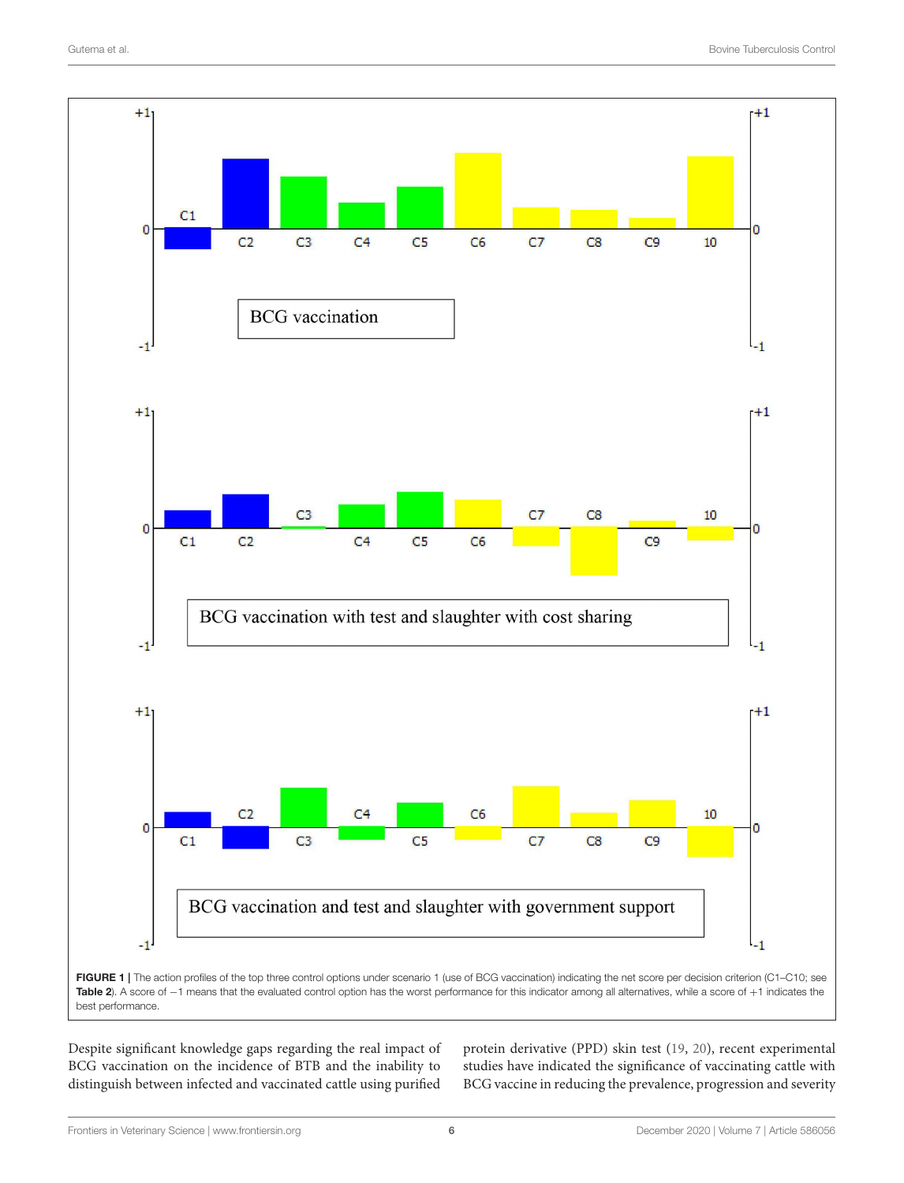

<span id="page-5-0"></span>

Despite significant knowledge gaps regarding the real impact of BCG vaccination on the incidence of BTB and the inability to distinguish between infected and vaccinated cattle using purified protein derivative (PPD) skin test [\(19,](#page-9-10) [20\)](#page-9-11), recent experimental studies have indicated the significance of vaccinating cattle with BCG vaccine in reducing the prevalence, progression and severity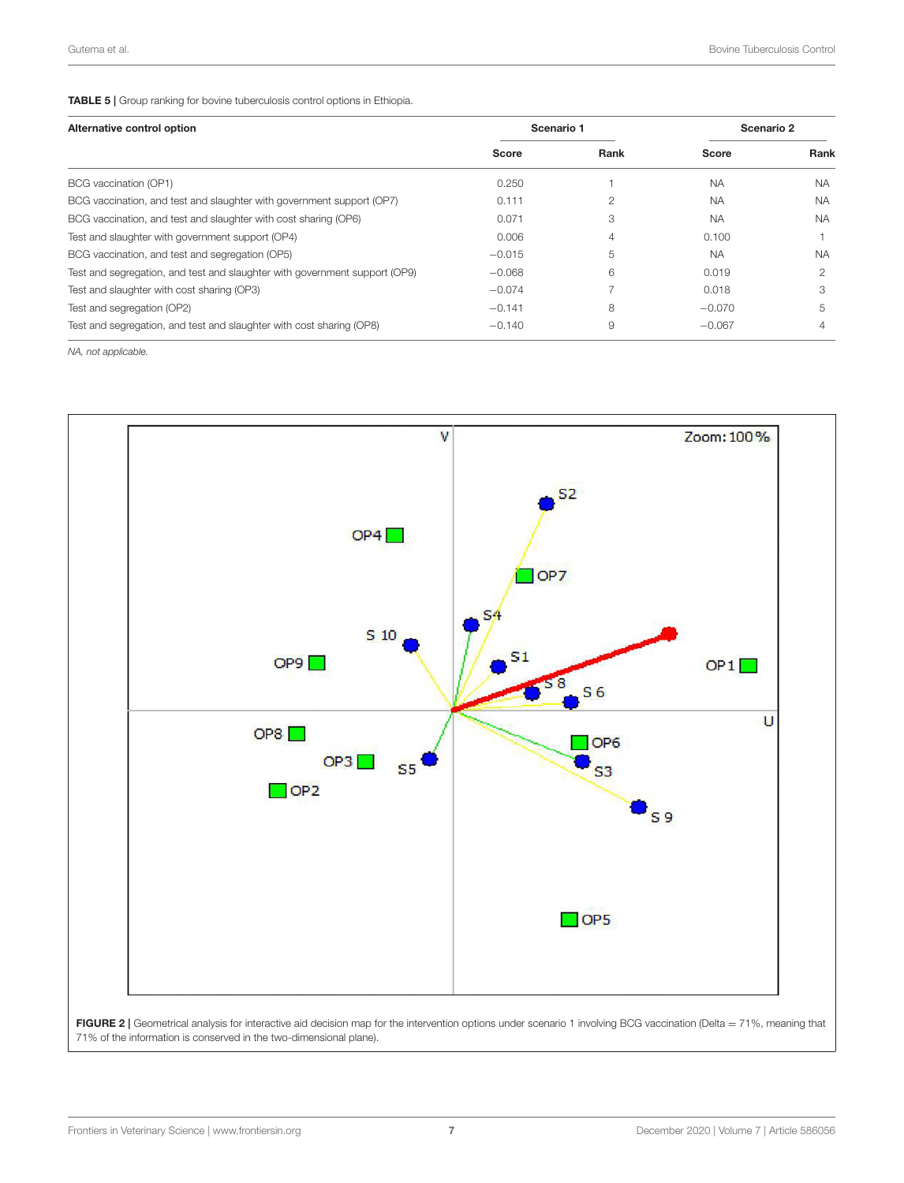#### <span id="page-6-0"></span>TABLE 5 | Group ranking for bovine tuberculosis control options in Ethiopia.

| Alternative control option                                                 | Scenario 1 |      | Scenario 2 |           |  |
|----------------------------------------------------------------------------|------------|------|------------|-----------|--|
|                                                                            | Score      | Rank | Score      | Rank      |  |
| BCG vaccination (OP1)                                                      | 0.250      |      | <b>NA</b>  | <b>NA</b> |  |
| BCG vaccination, and test and slaughter with government support (OP7)      | 0.111      |      | <b>NA</b>  | <b>NA</b> |  |
| BCG vaccination, and test and slaughter with cost sharing (OP6)            | 0.071      | З    | <b>NA</b>  | <b>NA</b> |  |
| Test and slaughter with government support (OP4)                           | 0.006      | 4    | 0.100      |           |  |
| BCG vaccination, and test and segregation (OP5)                            | $-0.015$   | 5    | <b>NA</b>  | <b>NA</b> |  |
| Test and segregation, and test and slaughter with government support (OP9) | $-0.068$   | 6    | 0.019      | 2         |  |
| Test and slaughter with cost sharing (OP3)                                 | $-0.074$   |      | 0.018      | З         |  |
| Test and segregation (OP2)                                                 | $-0.141$   | 8    | $-0.070$   | 5         |  |
| Test and segregation, and test and slaughter with cost sharing (OP8)       | $-0.140$   | 9    | $-0.067$   | 4         |  |

NA, not applicable.



<span id="page-6-1"></span>FIGURE 2 | Geometrical analysis for interactive aid decision map for the intervention options under scenario 1 involving BCG vaccination (Delta = 71%, meaning that 71% of the information is conserved in the two-dimensional plane).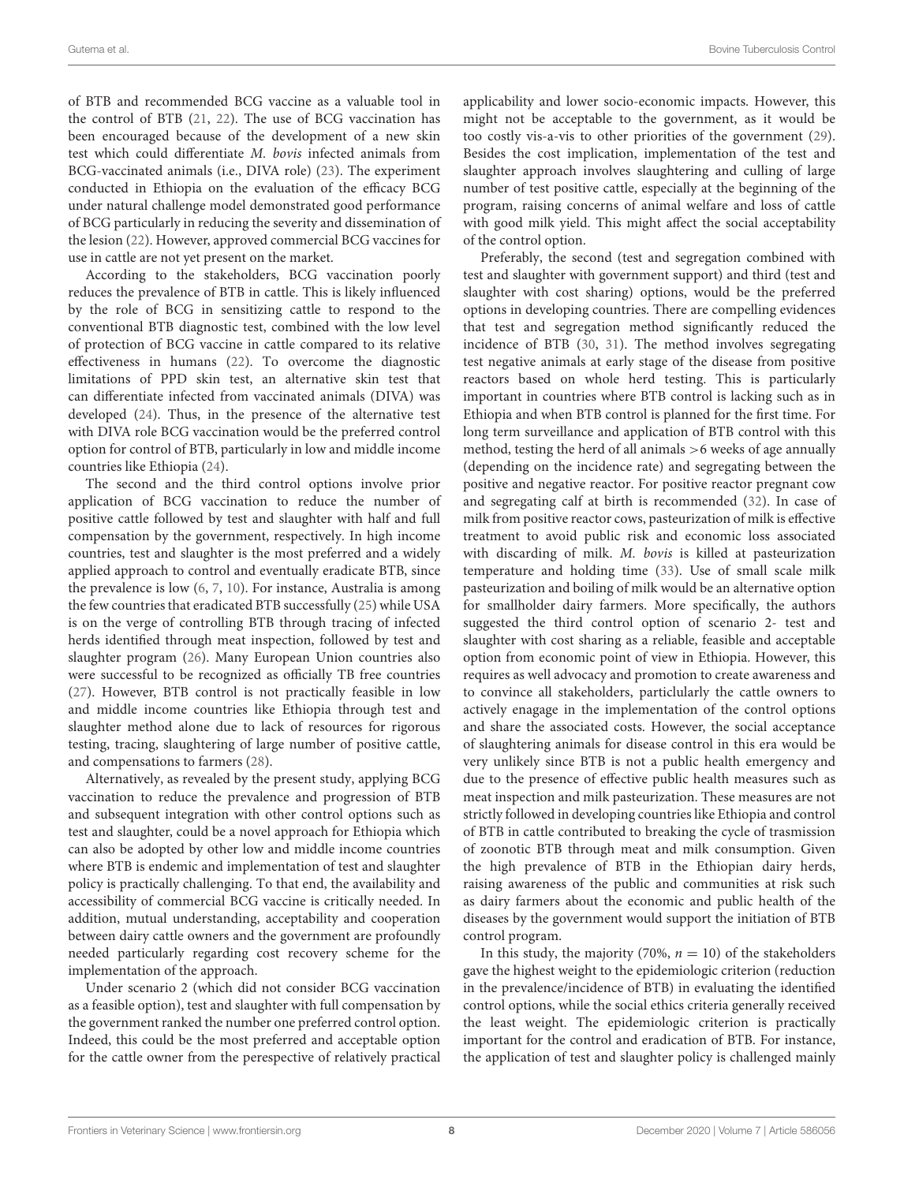of BTB and recommended BCG vaccine as a valuable tool in the control of BTB [\(21,](#page-9-12) [22\)](#page-9-13). The use of BCG vaccination has been encouraged because of the development of a new skin test which could differentiate M. bovis infected animals from BCG-vaccinated animals (i.e., DIVA role) [\(23\)](#page-9-14). The experiment conducted in Ethiopia on the evaluation of the efficacy BCG under natural challenge model demonstrated good performance of BCG particularly in reducing the severity and dissemination of the lesion [\(22\)](#page-9-13). However, approved commercial BCG vaccines for use in cattle are not yet present on the market.

According to the stakeholders, BCG vaccination poorly reduces the prevalence of BTB in cattle. This is likely influenced by the role of BCG in sensitizing cattle to respond to the conventional BTB diagnostic test, combined with the low level of protection of BCG vaccine in cattle compared to its relative effectiveness in humans [\(22\)](#page-9-13). To overcome the diagnostic limitations of PPD skin test, an alternative skin test that can differentiate infected from vaccinated animals (DIVA) was developed [\(24\)](#page-9-15). Thus, in the presence of the alternative test with DIVA role BCG vaccination would be the preferred control option for control of BTB, particularly in low and middle income countries like Ethiopia [\(24\)](#page-9-15).

The second and the third control options involve prior application of BCG vaccination to reduce the number of positive cattle followed by test and slaughter with half and full compensation by the government, respectively. In high income countries, test and slaughter is the most preferred and a widely applied approach to control and eventually eradicate BTB, since the prevalence is low [\(6,](#page-8-5) [7,](#page-8-6) [10\)](#page-9-1). For instance, Australia is among the few countries that eradicated BTB successfully [\(25\)](#page-9-16) while USA is on the verge of controlling BTB through tracing of infected herds identified through meat inspection, followed by test and slaughter program [\(26\)](#page-9-17). Many European Union countries also were successful to be recognized as officially TB free countries [\(27\)](#page-9-18). However, BTB control is not practically feasible in low and middle income countries like Ethiopia through test and slaughter method alone due to lack of resources for rigorous testing, tracing, slaughtering of large number of positive cattle, and compensations to farmers [\(28\)](#page-9-19).

Alternatively, as revealed by the present study, applying BCG vaccination to reduce the prevalence and progression of BTB and subsequent integration with other control options such as test and slaughter, could be a novel approach for Ethiopia which can also be adopted by other low and middle income countries where BTB is endemic and implementation of test and slaughter policy is practically challenging. To that end, the availability and accessibility of commercial BCG vaccine is critically needed. In addition, mutual understanding, acceptability and cooperation between dairy cattle owners and the government are profoundly needed particularly regarding cost recovery scheme for the implementation of the approach.

Under scenario 2 (which did not consider BCG vaccination as a feasible option), test and slaughter with full compensation by the government ranked the number one preferred control option. Indeed, this could be the most preferred and acceptable option for the cattle owner from the perespective of relatively practical applicability and lower socio-economic impacts. However, this might not be acceptable to the government, as it would be too costly vis-a-vis to other priorities of the government [\(29\)](#page-9-20). Besides the cost implication, implementation of the test and slaughter approach involves slaughtering and culling of large number of test positive cattle, especially at the beginning of the program, raising concerns of animal welfare and loss of cattle with good milk yield. This might affect the social acceptability of the control option.

Preferably, the second (test and segregation combined with test and slaughter with government support) and third (test and slaughter with cost sharing) options, would be the preferred options in developing countries. There are compelling evidences that test and segregation method significantly reduced the incidence of BTB [\(30,](#page-9-21) [31\)](#page-9-22). The method involves segregating test negative animals at early stage of the disease from positive reactors based on whole herd testing. This is particularly important in countries where BTB control is lacking such as in Ethiopia and when BTB control is planned for the first time. For long term surveillance and application of BTB control with this method, testing the herd of all animals >6 weeks of age annually (depending on the incidence rate) and segregating between the positive and negative reactor. For positive reactor pregnant cow and segregating calf at birth is recommended [\(32\)](#page-9-23). In case of milk from positive reactor cows, pasteurization of milk is effective treatment to avoid public risk and economic loss associated with discarding of milk. M. bovis is killed at pasteurization temperature and holding time [\(33\)](#page-9-24). Use of small scale milk pasteurization and boiling of milk would be an alternative option for smallholder dairy farmers. More specifically, the authors suggested the third control option of scenario 2- test and slaughter with cost sharing as a reliable, feasible and acceptable option from economic point of view in Ethiopia. However, this requires as well advocacy and promotion to create awareness and to convince all stakeholders, particlularly the cattle owners to actively enagage in the implementation of the control options and share the associated costs. However, the social acceptance of slaughtering animals for disease control in this era would be very unlikely since BTB is not a public health emergency and due to the presence of effective public health measures such as meat inspection and milk pasteurization. These measures are not strictly followed in developing countries like Ethiopia and control of BTB in cattle contributed to breaking the cycle of trasmission of zoonotic BTB through meat and milk consumption. Given the high prevalence of BTB in the Ethiopian dairy herds, raising awareness of the public and communities at risk such as dairy farmers about the economic and public health of the diseases by the government would support the initiation of BTB control program.

In this study, the majority (70%,  $n = 10$ ) of the stakeholders gave the highest weight to the epidemiologic criterion (reduction in the prevalence/incidence of BTB) in evaluating the identified control options, while the social ethics criteria generally received the least weight. The epidemiologic criterion is practically important for the control and eradication of BTB. For instance, the application of test and slaughter policy is challenged mainly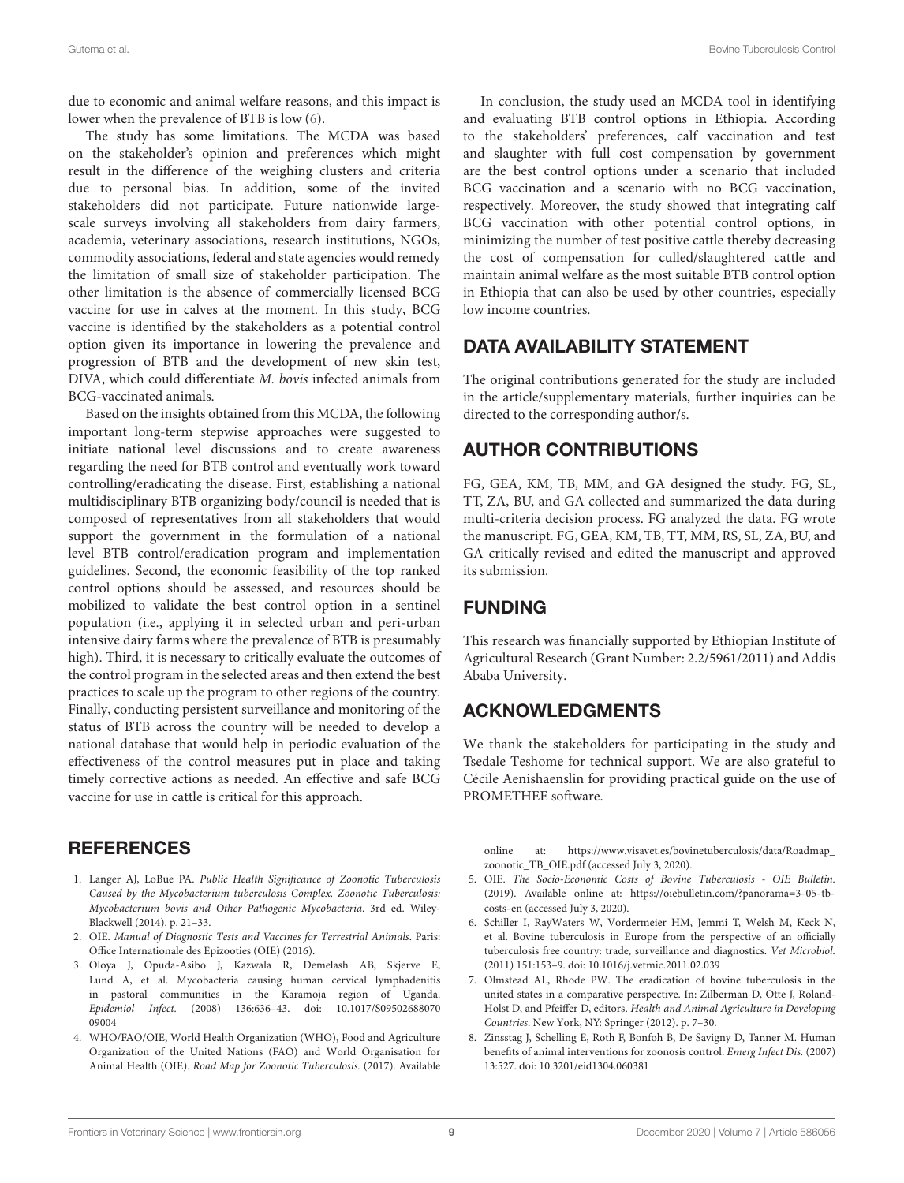due to economic and animal welfare reasons, and this impact is lower when the prevalence of BTB is low [\(6\)](#page-8-5).

The study has some limitations. The MCDA was based on the stakeholder's opinion and preferences which might result in the difference of the weighing clusters and criteria due to personal bias. In addition, some of the invited stakeholders did not participate. Future nationwide largescale surveys involving all stakeholders from dairy farmers, academia, veterinary associations, research institutions, NGOs, commodity associations, federal and state agencies would remedy the limitation of small size of stakeholder participation. The other limitation is the absence of commercially licensed BCG vaccine for use in calves at the moment. In this study, BCG vaccine is identified by the stakeholders as a potential control option given its importance in lowering the prevalence and progression of BTB and the development of new skin test, DIVA, which could differentiate M. bovis infected animals from BCG-vaccinated animals.

Based on the insights obtained from this MCDA, the following important long-term stepwise approaches were suggested to initiate national level discussions and to create awareness regarding the need for BTB control and eventually work toward controlling/eradicating the disease. First, establishing a national multidisciplinary BTB organizing body/council is needed that is composed of representatives from all stakeholders that would support the government in the formulation of a national level BTB control/eradication program and implementation guidelines. Second, the economic feasibility of the top ranked control options should be assessed, and resources should be mobilized to validate the best control option in a sentinel population (i.e., applying it in selected urban and peri-urban intensive dairy farms where the prevalence of BTB is presumably high). Third, it is necessary to critically evaluate the outcomes of the control program in the selected areas and then extend the best practices to scale up the program to other regions of the country. Finally, conducting persistent surveillance and monitoring of the status of BTB across the country will be needed to develop a national database that would help in periodic evaluation of the effectiveness of the control measures put in place and taking timely corrective actions as needed. An effective and safe BCG vaccine for use in cattle is critical for this approach.

## **REFERENCES**

- <span id="page-8-0"></span>1. Langer AJ, LoBue PA. Public Health Significance of Zoonotic Tuberculosis Caused by the Mycobacterium tuberculosis Complex. Zoonotic Tuberculosis: Mycobacterium bovis and Other Pathogenic Mycobacteria. 3rd ed. Wiley-Blackwell (2014). p. 21–33.
- <span id="page-8-1"></span>2. OIE. Manual of Diagnostic Tests and Vaccines for Terrestrial Animals. Paris: Office Internationale des Epizooties (OIE) (2016).
- <span id="page-8-2"></span>3. Oloya J, Opuda-Asibo J, Kazwala R, Demelash AB, Skjerve E, Lund A, et al. Mycobacteria causing human cervical lymphadenitis in pastoral communities in the Karamoja region of Uganda. Epidemiol Infect. [\(2008\) 136:636–43. doi: 10.1017/S09502688070](https://doi.org/10.1017/S0950268807009004) 09004
- <span id="page-8-3"></span>4. WHO/FAO/OIE, World Health Organization (WHO), Food and Agriculture Organization of the United Nations (FAO) and World Organisation for Animal Health (OIE). Road Map for Zoonotic Tuberculosis. (2017). Available

In conclusion, the study used an MCDA tool in identifying and evaluating BTB control options in Ethiopia. According to the stakeholders' preferences, calf vaccination and test and slaughter with full cost compensation by government are the best control options under a scenario that included BCG vaccination and a scenario with no BCG vaccination, respectively. Moreover, the study showed that integrating calf BCG vaccination with other potential control options, in minimizing the number of test positive cattle thereby decreasing the cost of compensation for culled/slaughtered cattle and maintain animal welfare as the most suitable BTB control option in Ethiopia that can also be used by other countries, especially low income countries.

## DATA AVAILABILITY STATEMENT

The original contributions generated for the study are included in the article/supplementary materials, further inquiries can be directed to the corresponding author/s.

## AUTHOR CONTRIBUTIONS

FG, GEA, KM, TB, MM, and GA designed the study. FG, SL, TT, ZA, BU, and GA collected and summarized the data during multi-criteria decision process. FG analyzed the data. FG wrote the manuscript. FG, GEA, KM, TB, TT, MM, RS, SL, ZA, BU, and GA critically revised and edited the manuscript and approved its submission.

## FUNDING

This research was financially supported by Ethiopian Institute of Agricultural Research (Grant Number: 2.2/5961/2011) and Addis Ababa University.

# ACKNOWLEDGMENTS

We thank the stakeholders for participating in the study and Tsedale Teshome for technical support. We are also grateful to Cécile Aenishaenslin for providing practical guide on the use of PROMETHEE software.

online at: [https://www.visavet.es/bovinetuberculosis/data/Roadmap\\_](https://www.visavet.es/bovinetuberculosis/data/Roadmap_zoonotic_TB_OIE.pdf) [zoonotic\\_TB\\_OIE.pdf](https://www.visavet.es/bovinetuberculosis/data/Roadmap_zoonotic_TB_OIE.pdf) (accessed July 3, 2020).

- <span id="page-8-4"></span>5. OIE. The Socio-Economic Costs of Bovine Tuberculosis - OIE Bulletin. (2019). Available online at: [https://oiebulletin.com/?panorama=3-05-tb](https://oiebulletin.com/?panorama=3-05-tb-costs-en)[costs-en](https://oiebulletin.com/?panorama=3-05-tb-costs-en) (accessed July 3, 2020).
- <span id="page-8-5"></span>6. Schiller I, RayWaters W, Vordermeier HM, Jemmi T, Welsh M, Keck N, et al. Bovine tuberculosis in Europe from the perspective of an officially tuberculosis free country: trade, surveillance and diagnostics. Vet Microbiol. (2011) 151:153–9. doi: [10.1016/j.vetmic.2011.02.039](https://doi.org/10.1016/j.vetmic.2011.02.039)
- <span id="page-8-6"></span>7. Olmstead AL, Rhode PW. The eradication of bovine tuberculosis in the united states in a comparative perspective. In: Zilberman D, Otte J, Roland-Holst D, and Pfeiffer D, editors. Health and Animal Agriculture in Developing Countries. New York, NY: Springer (2012). p. 7–30.
- <span id="page-8-7"></span>8. Zinsstag J, Schelling E, Roth F, Bonfoh B, De Savigny D, Tanner M. Human benefits of animal interventions for zoonosis control. Emerg Infect Dis. (2007) 13:527. doi: [10.3201/eid1304.060381](https://doi.org/10.3201/eid1304.060381)